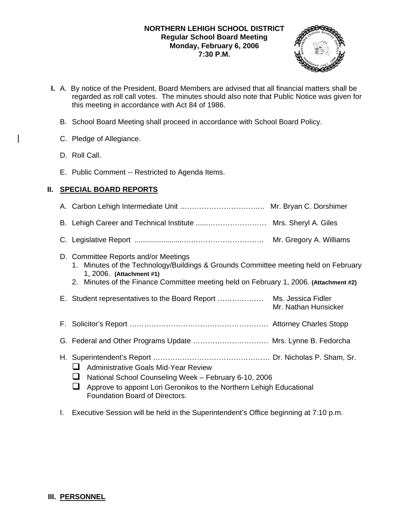## **NORTHERN LEHIGH SCHOOL DISTRICT Regular School Board Meeting Monday, February 6, 2006 7:30 P.M.**



- **I.** A. By notice of the President, Board Members are advised that all financial matters shall be regarded as roll call votes. The minutes should also note that Public Notice was given for this meeting in accordance with Act 84 of 1986.
	- B. School Board Meeting shall proceed in accordance with School Board Policy.
	- C. Pledge of Allegiance.
	- D. Roll Call.
	- E. Public Comment -- Restricted to Agenda Items.

# **II. SPECIAL BOARD REPORTS**

- A. Carbon Lehigh Intermediate Unit …………………………….. Mr. Bryan C. Dorshimer
- B. Lehigh Career and Technical Institute ......…………………… Mrs. Sheryl A. Giles
- C. Legislative Report ........................…………………………… Mr. Gregory A. Williams

## D. Committee Reports and/or Meetings

- 1. Minutes of the Technology/Buildings & Grounds Committee meeting held on February 1, 2006. **(Attachment #1)**
- 2. Minutes of the Finance Committee meeting held on February 1, 2006. **(Attachment #2)**
- E. Student representatives to the Board Report ………………. Ms. Jessica Fidler Mr. Nathan Hunsicker
- F. Solicitor's Report ………………………………………………… Attorney Charles Stopp
- G. Federal and Other Programs Update …………………………. Mrs. Lynne B. Fedorcha
- H. Superintendent's Report ………………………………………… Dr. Nicholas P. Sham, Sr.
	- **Administrative Goals Mid-Year Review**
	- National School Counseling Week February 6-10, 2006
	- $\Box$  Approve to appoint Lori Geronikos to the Northern Lehigh Educational Foundation Board of Directors.
- I. Executive Session will be held in the Superintendent's Office beginning at 7:10 p.m.

# **III. PERSONNEL**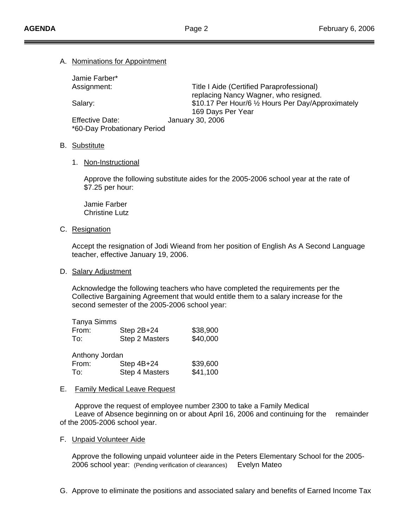### A. Nominations for Appointment

| Jamie Farber*               |                                                    |
|-----------------------------|----------------------------------------------------|
| Assignment:                 | Title I Aide (Certified Paraprofessional)          |
|                             | replacing Nancy Wagner, who resigned.              |
| Salary:                     | \$10.17 Per Hour/6 1/2 Hours Per Day/Approximately |
|                             | 169 Days Per Year                                  |
| <b>Effective Date:</b>      | January 30, 2006                                   |
| *60-Day Probationary Period |                                                    |

### B. Substitute

### 1. Non-Instructional

 Approve the following substitute aides for the 2005-2006 school year at the rate of \$7.25 per hour:

 Jamie Farber Christine Lutz

## C. Resignation

 Accept the resignation of Jodi Wieand from her position of English As A Second Language teacher, effective January 19, 2006.

## D. Salary Adjustment

 Acknowledge the following teachers who have completed the requirements per the Collective Bargaining Agreement that would entitle them to a salary increase for the second semester of the 2005-2006 school year:

| <b>Tanya Simms</b> |                |          |
|--------------------|----------------|----------|
| From:              | Step $2B+24$   | \$38,900 |
| To:                | Step 2 Masters | \$40,000 |
| Anthony Jordan     |                |          |
| From:              | Step 4B+24     | \$39,600 |
| To:                | Step 4 Masters | \$41,100 |

#### E. Family Medical Leave Request

 Approve the request of employee number 2300 to take a Family Medical Leave of Absence beginning on or about April 16, 2006 and continuing for the remainder of the 2005-2006 school year.

### F. Unpaid Volunteer Aide

 Approve the following unpaid volunteer aide in the Peters Elementary School for the 2005- 2006 school year: (Pending verification of clearances) Evelyn Mateo

G. Approve to eliminate the positions and associated salary and benefits of Earned Income Tax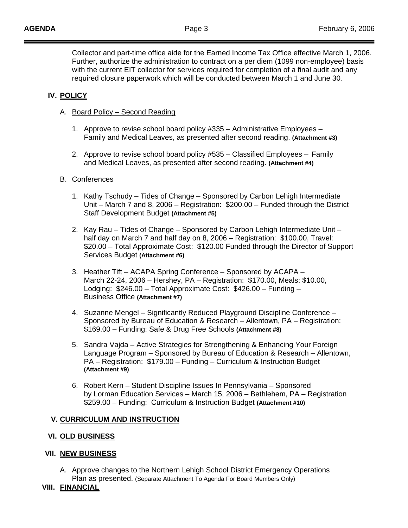Collector and part-time office aide for the Earned Income Tax Office effective March 1, 2006. Further, authorize the administration to contract on a per diem (1099 non-employee) basis with the current EIT collector for services required for completion of a final audit and any required closure paperwork which will be conducted between March 1 and June 30.

# **IV. POLICY**

- A. Board Policy Second Reading
	- 1. Approve to revise school board policy #335 Administrative Employees Family and Medical Leaves, as presented after second reading. **(Attachment #3)**
	- 2. Approve to revise school board policy #535 Classified Employees Family and Medical Leaves, as presented after second reading. **(Attachment #4)**

## B. Conferences

- 1. Kathy Tschudy Tides of Change Sponsored by Carbon Lehigh Intermediate Unit – March 7 and 8, 2006 – Registration: \$200.00 – Funded through the District Staff Development Budget **(Attachment #5)**
- 2. Kay Rau Tides of Change Sponsored by Carbon Lehigh Intermediate Unit half day on March 7 and half day on 8, 2006 – Registration: \$100.00, Travel: \$20.00 – Total Approximate Cost: \$120.00 Funded through the Director of Support Services Budget **(Attachment #6)**
- 3. Heather Tift ACAPA Spring Conference Sponsored by ACAPA March 22-24, 2006 – Hershey, PA – Registration: \$170.00, Meals: \$10.00, Lodging: \$246.00 – Total Approximate Cost: \$426.00 – Funding – Business Office **(Attachment #7)**
- 4. Suzanne Mengel Significantly Reduced Playground Discipline Conference Sponsored by Bureau of Education & Research – Allentown, PA – Registration: \$169.00 – Funding: Safe & Drug Free Schools **(Attachment #8)**
- 5. Sandra Vajda Active Strategies for Strengthening & Enhancing Your Foreign Language Program – Sponsored by Bureau of Education & Research – Allentown, PA – Registration: \$179.00 – Funding – Curriculum & Instruction Budget **(Attachment #9)**
- 6. Robert Kern Student Discipline Issues In Pennsylvania Sponsored by Lorman Education Services – March 15, 2006 – Bethlehem, PA – Registration \$259.00 – Funding: Curriculum & Instruction Budget **(Attachment #10)**

## **V. CURRICULUM AND INSTRUCTION**

## **VI. OLD BUSINESS**

## **VII. NEW BUSINESS**

A. Approve changes to the Northern Lehigh School District Emergency Operations Plan as presented. (Separate Attachment To Agenda For Board Members Only)

# **VIII. FINANCIAL**